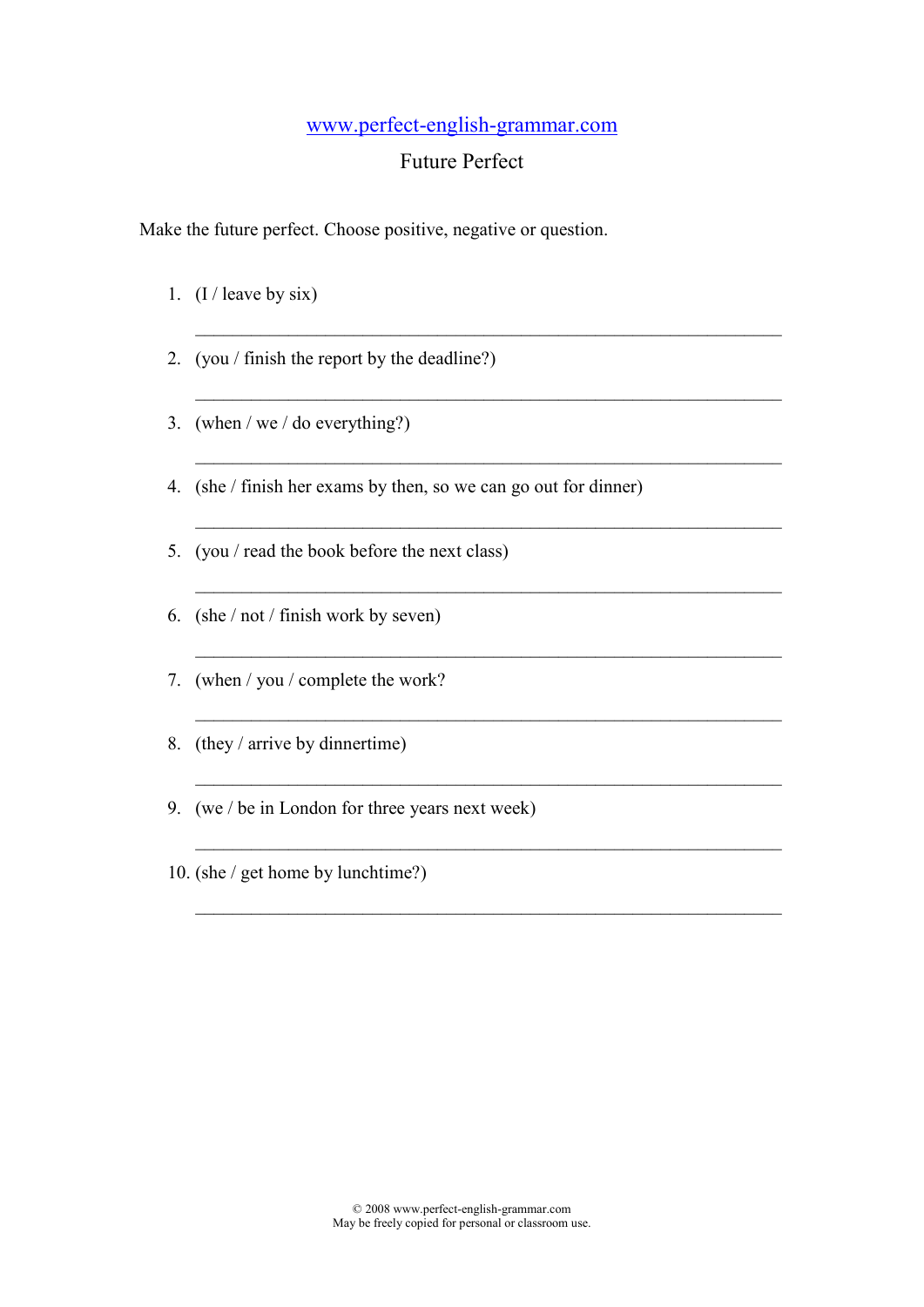## www.perfect-english-grammar.com

## Future Perfect

 $\_$  , and the contribution of the contribution of  $\mathcal{L}_\mathcal{A}$ 

\_\_\_\_\_\_\_\_\_\_\_\_\_\_\_\_\_\_\_\_\_\_\_\_\_\_\_\_\_\_\_\_\_\_\_\_\_\_\_\_\_\_\_\_\_\_\_\_\_\_\_\_\_\_\_\_\_\_\_\_\_\_\_

 $\_$  , and the contribution of the contribution of  $\mathcal{L}_\mathcal{A}$ 

 $\_$  ,  $\_$  ,  $\_$  ,  $\_$  ,  $\_$  ,  $\_$  ,  $\_$  ,  $\_$  ,  $\_$  ,  $\_$  ,  $\_$  ,  $\_$  ,  $\_$  ,  $\_$  ,  $\_$  ,  $\_$  ,  $\_$  ,  $\_$  ,  $\_$ 

 $\_$  , and the contribution of the contribution of  $\mathcal{L}_\mathcal{A}$ 

 $\_$  , and the contribution of the contribution of  $\mathcal{L}_\mathcal{A}$ 

 $\_$  , and the contribution of the contribution of  $\mathcal{L}_\mathcal{A}$ 

 $\_$  , and the contribution of the contribution of  $\mathcal{L}_\mathcal{A}$ 

\_\_\_\_\_\_\_\_\_\_\_\_\_\_\_\_\_\_\_\_\_\_\_\_\_\_\_\_\_\_\_\_\_\_\_\_\_\_\_\_\_\_\_\_\_\_\_\_\_\_\_\_\_\_\_\_\_\_\_\_\_\_\_

 $\_$  , and the contribution of the contribution of  $\mathcal{L}_\mathcal{A}$ 

Make the future perfect. Choose positive, negative or question.

- 1.  $(I / \text{leave by six})$
- 2. (you / finish the report by the deadline?)
- 3. (when / we / do everything?)
- 4. (she / finish her exams by then, so we can go out for dinner)
- 5. (you / read the book before the next class)
- 6. (she / not / finish work by seven)
- 7. (when / you / complete the work?
- 8. (they / arrive by dinnertime)
- 9. (we / be in London for three years next week)
- 10. (she / get home by lunchtime?)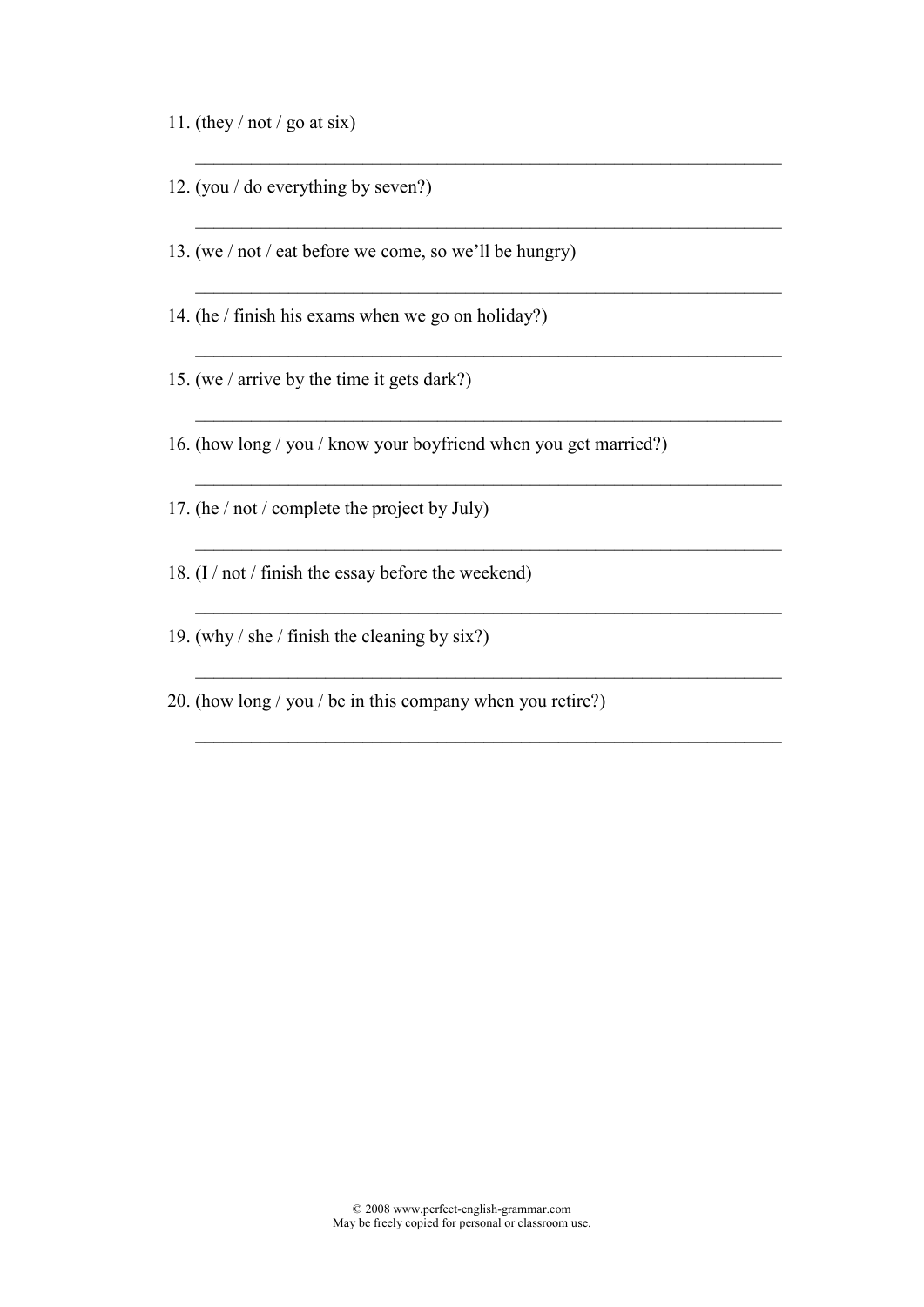- 11. (they  $/$  not  $/$  go at six)
- 12. (you / do everything by seven?)
- 13. (we / not / eat before we come, so we'll be hungry)
- 14. (he / finish his exams when we go on holiday?)
- 15. (we / arrive by the time it gets dark?)
- 16. (how long / you / know your boyfriend when you get married?)

\_\_\_\_\_\_\_\_\_\_\_\_\_\_\_\_\_\_\_\_\_\_\_\_\_\_\_\_\_\_\_\_\_\_\_\_\_\_\_\_\_\_\_\_\_\_\_\_\_\_\_\_\_\_\_\_\_\_\_\_\_\_\_

 $\_$  , and the contribution of the contribution of  $\mathcal{L}_\mathcal{A}$ 

\_\_\_\_\_\_\_\_\_\_\_\_\_\_\_\_\_\_\_\_\_\_\_\_\_\_\_\_\_\_\_\_\_\_\_\_\_\_\_\_\_\_\_\_\_\_\_\_\_\_\_\_\_\_\_\_\_\_\_\_\_\_\_

 $\_$  , and the contribution of the contribution of  $\mathcal{L}_\mathcal{A}$ 

 $\_$  , and the contribution of the contribution of  $\mathcal{L}_\mathcal{A}$ 

 $\_$  , and the contribution of the contribution of  $\mathcal{L}_\mathcal{A}$ 

 $\_$  , and the contribution of the contribution of  $\mathcal{L}_\mathcal{A}$ 

\_\_\_\_\_\_\_\_\_\_\_\_\_\_\_\_\_\_\_\_\_\_\_\_\_\_\_\_\_\_\_\_\_\_\_\_\_\_\_\_\_\_\_\_\_\_\_\_\_\_\_\_\_\_\_\_\_\_\_\_\_\_\_

 $\_$  , and the contribution of the contribution of  $\mathcal{L}_\mathcal{A}$ 

\_\_\_\_\_\_\_\_\_\_\_\_\_\_\_\_\_\_\_\_\_\_\_\_\_\_\_\_\_\_\_\_\_\_\_\_\_\_\_\_\_\_\_\_\_\_\_\_\_\_\_\_\_\_\_\_\_\_\_\_\_\_\_

- 17. (he / not / complete the project by July)
- 18. (I / not / finish the essay before the weekend)
- 19. (why / she / finish the cleaning by six?)
- 20. (how long / you / be in this company when you retire?)